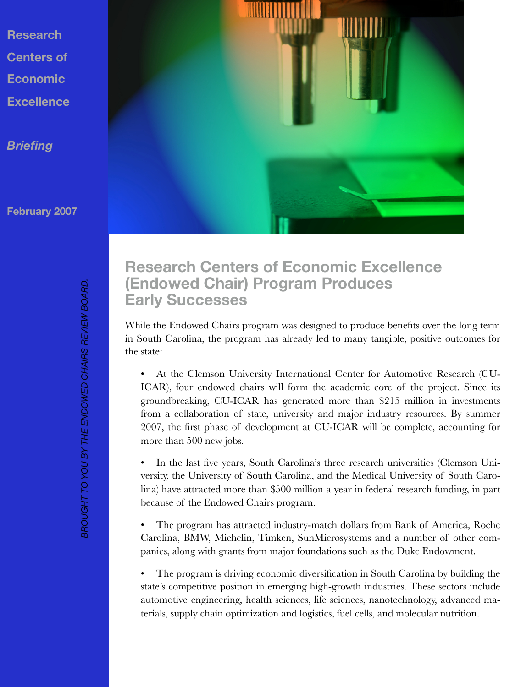**Research Centers of Economic Excellence**

*Briefing*

**February 2007**





## **Research Centers of Economic Excellence (Endowed Chair) Program Produces Early Successes**

While the Endowed Chairs program was designed to produce benefits over the long term in South Carolina, the program has already led to many tangible, positive outcomes for the state:

• At the Clemson University International Center for Automotive Research (CU-ICAR), four endowed chairs will form the academic core of the project. Since its groundbreaking, CU-ICAR has generated more than \$215 million in investments from a collaboration of state, university and major industry resources. By summer 2007, the first phase of development at CU-ICAR will be complete, accounting for more than 500 new jobs.

• In the last five years, South Carolina's three research universities (Clemson University, the University of South Carolina, and the Medical University of South Carolina) have attracted more than \$500 million a year in federal research funding, in part because of the Endowed Chairs program.

• The program has attracted industry-match dollars from Bank of America, Roche Carolina, BMW, Michelin, Timken, SunMicrosystems and a number of other companies, along with grants from major foundations such as the Duke Endowment.

• The program is driving economic diversification in South Carolina by building the state's competitive position in emerging high-growth industries. These sectors include automotive engineering, health sciences, life sciences, nanotechnology, advanced materials, supply chain optimization and logistics, fuel cells, and molecular nutrition.